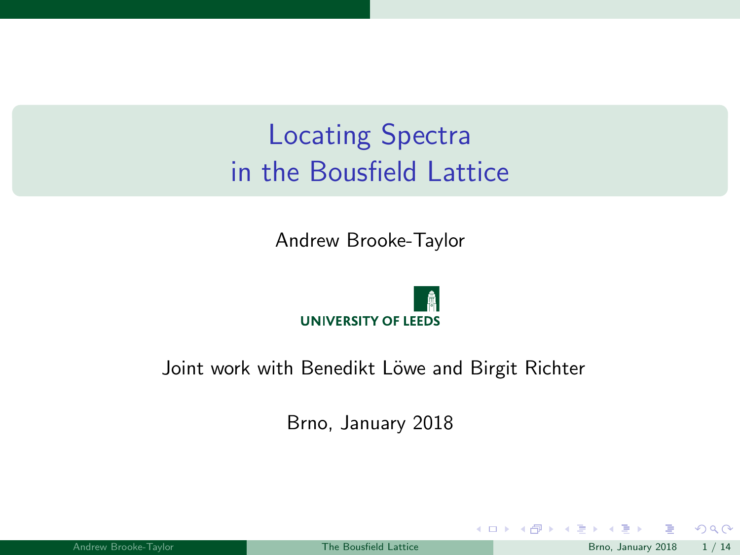# <span id="page-0-0"></span>Locating Spectra in the Bousfield Lattice

Andrew Brooke-Taylor



#### Joint work with Benedikt Löwe and Birgit Richter

Brno, January 2018

|  | Andrew Brooke-Taylor |  |
|--|----------------------|--|
|  |                      |  |

 $QQ$ 

メロト メタト メミトメ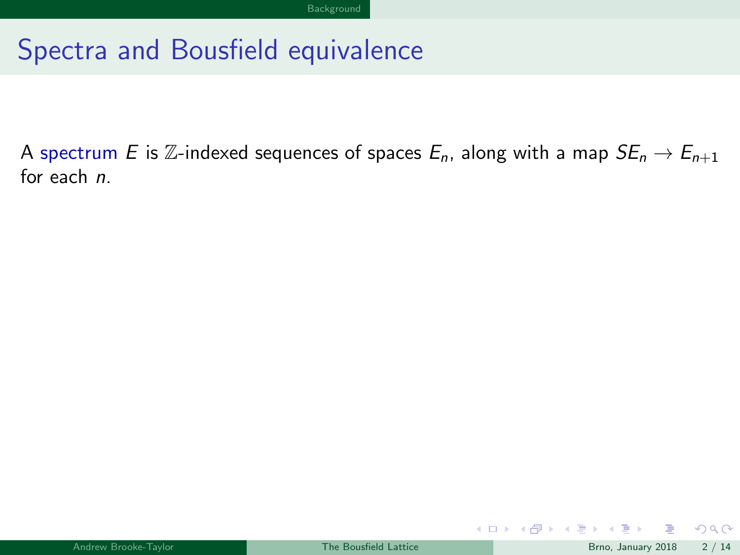## <span id="page-1-0"></span>Spectra and Bousfield equivalence

A spectrum E is Z-indexed sequences of spaces  $E_n$ , along with a map  $SE_n \rightarrow E_{n+1}$ for each n.

 $QQ$ 

 $4$  O  $\rightarrow$   $4$   $\overline{m}$   $\rightarrow$   $4$   $\overline{m}$   $\rightarrow$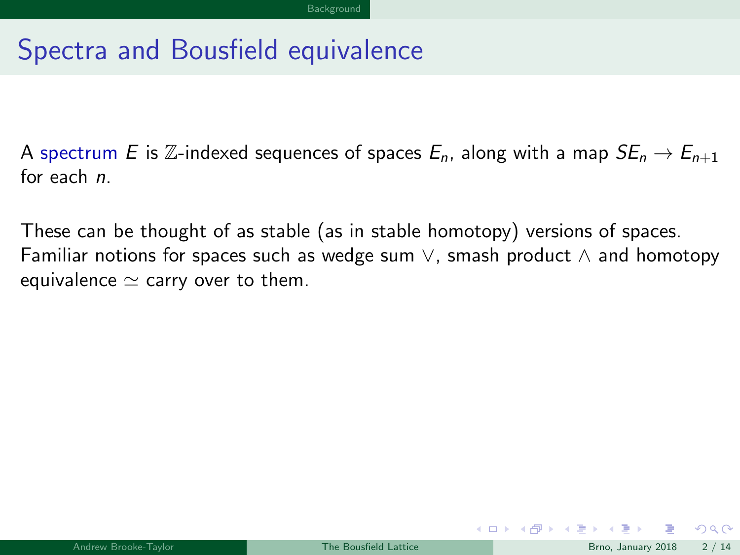## <span id="page-2-0"></span>Spectra and Bousfield equivalence

A spectrum E is Z-indexed sequences of spaces  $E_n$ , along with a map  $SE_n \rightarrow E_{n+1}$ for each n.

These can be thought of as stable (as in stable homotopy) versions of spaces. Familiar notions for spaces such as wedge sum  $\vee$ , smash product  $\wedge$  and homotopy equivalence  $\simeq$  carry over to them.

 $\Omega$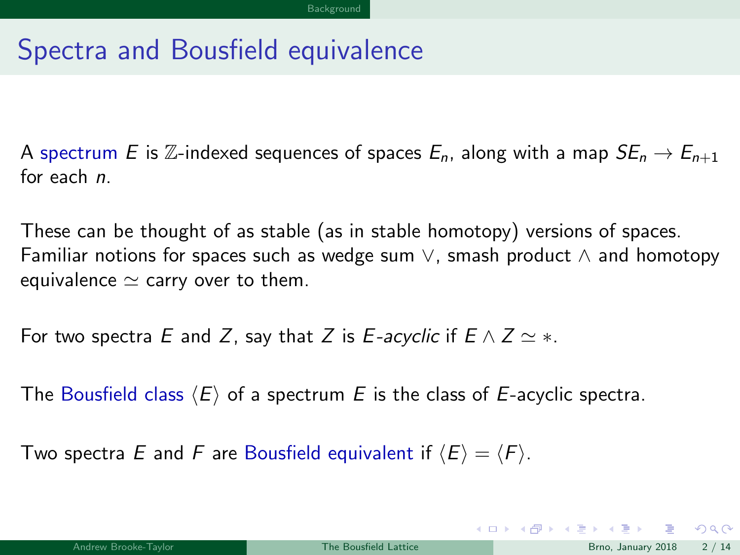## <span id="page-3-0"></span>Spectra and Bousfield equivalence

A spectrum E is Z-indexed sequences of spaces  $E_n$ , along with a map  $SE_n \rightarrow E_{n+1}$ for each n.

These can be thought of as stable (as in stable homotopy) versions of spaces. Familiar notions for spaces such as wedge sum  $\vee$ , smash product  $\wedge$  and homotopy equivalence  $\simeq$  carry over to them.

For two spectra E and Z, say that Z is E-acyclic if  $E \wedge Z \simeq *$ .

The Bousfield class  $\langle E \rangle$  of a spectrum E is the class of E-acyclic spectra.

Two spectra E and F are Bousfield equivalent if  $\langle E \rangle = \langle F \rangle$ .

 $\Omega$ 

メロト メ御 トメ ヨ トメ ヨト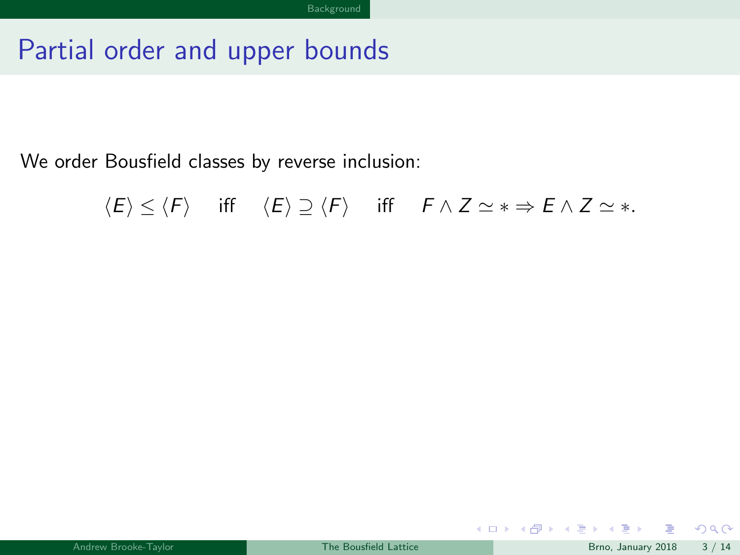## <span id="page-4-0"></span>Partial order and upper bounds

We order Bousfield classes by reverse inclusion:

$$
\langle E \rangle \leq \langle F \rangle \quad \text{ iff } \quad \langle E \rangle \supseteq \langle F \rangle \quad \text{ iff } \quad F \wedge Z \simeq * \Rightarrow E \wedge Z \simeq *.
$$

 $299$ 

メロメ メタメ メミメス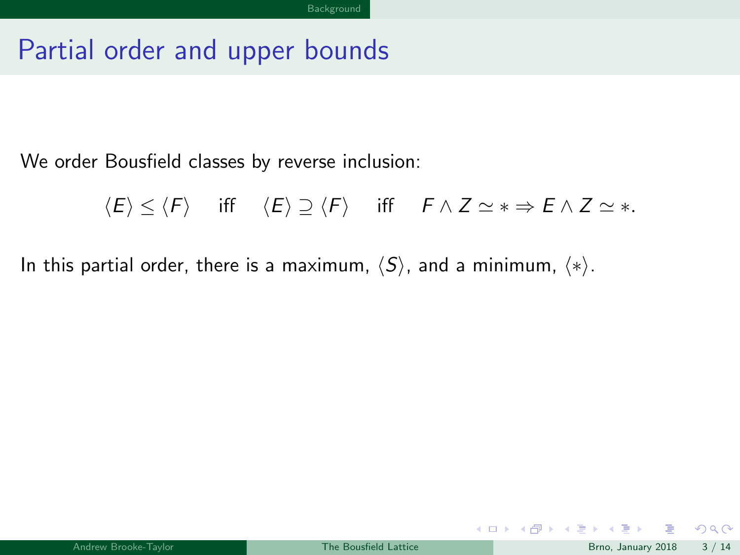#### <span id="page-5-0"></span>Partial order and upper bounds

We order Bousfield classes by reverse inclusion:

$$
\langle E \rangle \leq \langle F \rangle \quad \text{ iff } \quad \langle E \rangle \supseteq \langle F \rangle \quad \text{ iff } \quad F \wedge Z \simeq * \Rightarrow E \wedge Z \simeq *.
$$

In this partial order, there is a maximum,  $\langle S \rangle$ , and a minimum,  $\langle * \rangle$ .

 $2990$ 

メロメ メタメ メミメス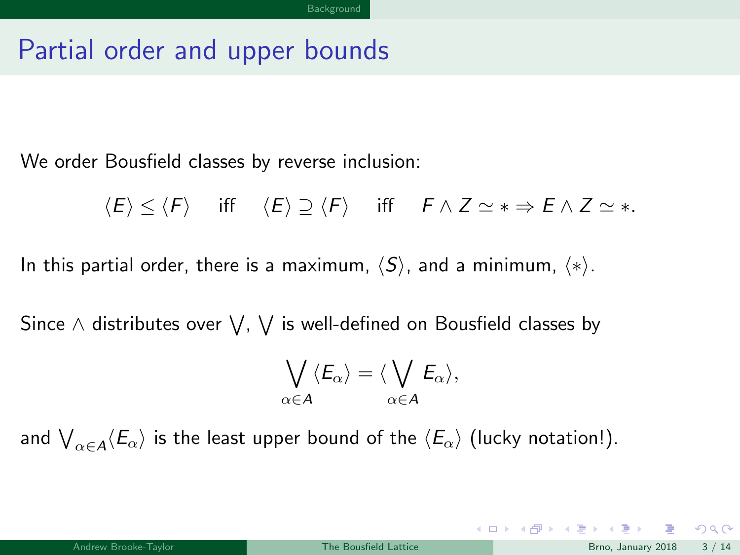### <span id="page-6-0"></span>Partial order and upper bounds

We order Bousfield classes by reverse inclusion:

$$
\langle E \rangle \leq \langle F \rangle \quad \text{ iff } \quad \langle E \rangle \supseteq \langle F \rangle \quad \text{ iff } \quad F \wedge Z \simeq * \Rightarrow E \wedge Z \simeq *.
$$

In this partial order, there is a maximum,  $\langle S \rangle$ , and a minimum,  $\langle * \rangle$ .

Since  $\wedge$  distributes over  $\bigvee$ ,  $\bigvee$  is well-defined on Bousfield classes by

$$
\bigvee_{\alpha\in A}\langle E_{\alpha}\rangle=\langle \bigvee_{\alpha\in A}E_{\alpha}\rangle,
$$

and  $\bigvee_{\alpha\in A}\langle E_\alpha\rangle$  is the least upper bound of the  $\langle E_\alpha\rangle$  (lucky notation!).

 $298$ 

メロト メ御 トメ ヨ トメ ヨト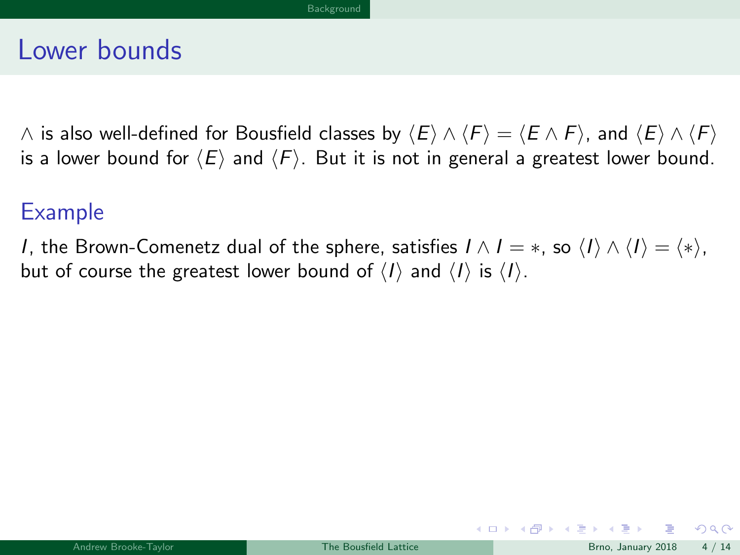#### <span id="page-7-0"></span>Lower bounds

∧ is also well-defined for Bousfield classes by  $\langle E \rangle \wedge \langle F \rangle = \langle E \wedge F \rangle$ , and  $\langle E \rangle \wedge \langle F \rangle$ is a lower bound for  $\langle E \rangle$  and  $\langle F \rangle$ . But it is not in general a greatest lower bound.

#### Example

*I*, the Brown-Comenetz dual of the sphere, satisfies  $I \wedge I = *,$  so  $\langle I \rangle \wedge \langle I \rangle = \langle * \rangle$ , but of course the greatest lower bound of  $\langle I \rangle$  and  $\langle I \rangle$  is  $\langle I \rangle$ .

 $\Omega$ 

 $\left\{ \begin{array}{ccc} \square & \rightarrow & \left\{ \bigcap \mathbb{P} \right\} & \left\{ \begin{array}{ccc} \square & \rightarrow & \left\{ \end{array} \right\} \end{array} \right.$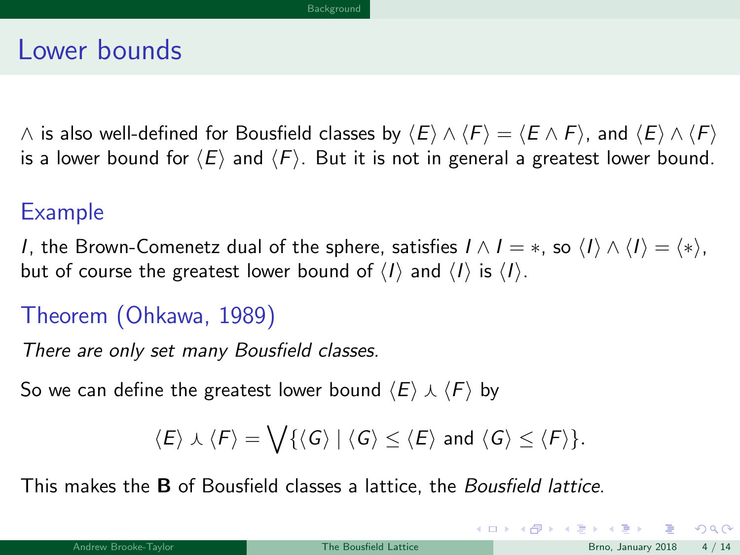#### <span id="page-8-0"></span>Lower bounds

 $\land$  is also well-defined for Bousfield classes by  $\langle E \rangle \land \langle F \rangle = \langle E \land F \rangle$ , and  $\langle E \rangle \land \langle F \rangle$ is a lower bound for  $\langle E \rangle$  and  $\langle F \rangle$ . But it is not in general a greatest lower bound.

#### Example

I, the Brown-Comenetz dual of the sphere, satisfies  $I \wedge I = *,$  so  $\langle I \rangle \wedge \langle I \rangle = \langle * \rangle$ , but of course the greatest lower bound of  $\langle I \rangle$  and  $\langle I \rangle$  is  $\langle I \rangle$ .

#### Theorem (Ohkawa, 1989)

There are only set many Bousfield classes.

So we can define the greatest lower bound  $\langle E \rangle \wedge \langle F \rangle$  by

$$
\langle E \rangle \curlywedge \langle F \rangle = \bigvee \{ \langle G \rangle \mid \langle G \rangle \leq \langle E \rangle \text{ and } \langle G \rangle \leq \langle F \rangle \}.
$$

This makes the B of Bousfield classes a lattice, the Bousfield lattice.

 $\Omega$ 

メロト メ母 トメミト メミト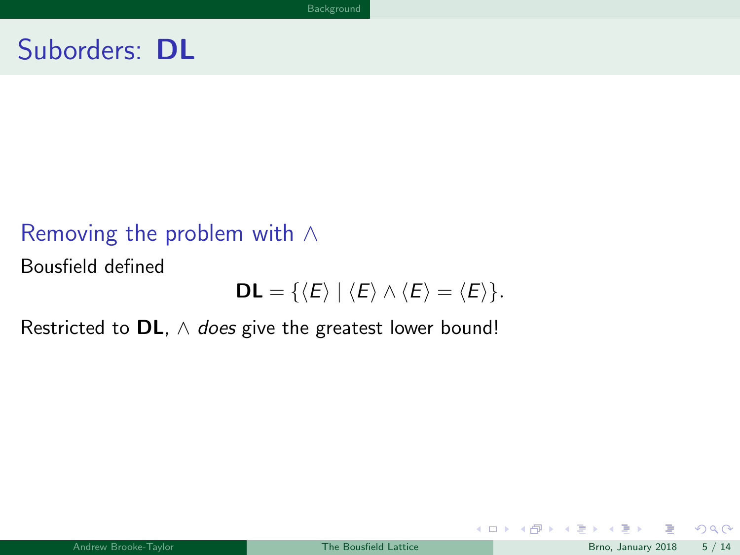#### <span id="page-9-0"></span>Removing the problem with ∧

Bousfield defined

$$
DL = \{ \langle E \rangle \mid \langle E \rangle \wedge \langle E \rangle = \langle E \rangle \}.
$$

Restricted to DL,  $\wedge$  does give the greatest lower bound!

 $QQ$ 

メロメ メ御 メメ きょうぼき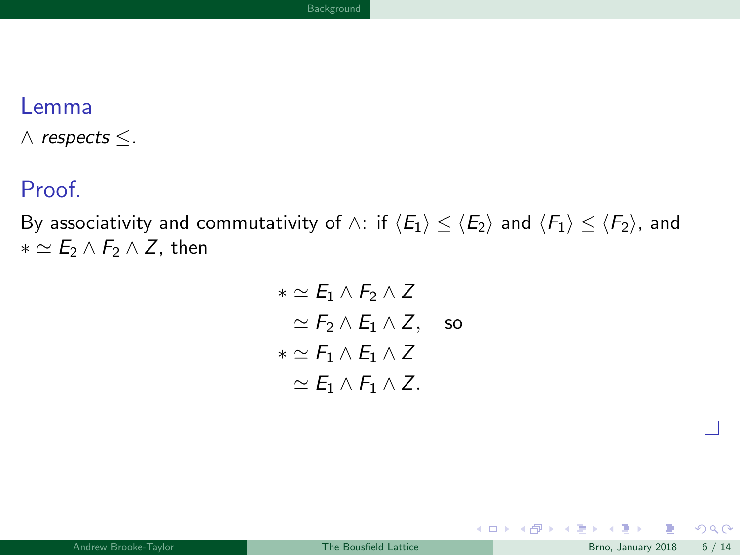#### <span id="page-10-0"></span>Lemma

 $\wedge$  respects  $\leq$ .

#### Proof.

By associativity and commutativity of  $\wedge$ : if  $\langle E_1 \rangle \leq \langle E_2 \rangle$  and  $\langle F_1 \rangle \leq \langle F_2 \rangle$ , and  $* \simeq E_2 \wedge F_2 \wedge Z$ , then

$$
\ast \simeq E_1 \wedge F_2 \wedge Z
$$
  
\simeq  $F_2 \wedge E_1 \wedge Z$ , so  
\t
$$
\ast \simeq F_1 \wedge E_1 \wedge Z
$$
  
\t
$$
\simeq E_1 \wedge F_1 \wedge Z.
$$

メロト メタト メミト

- 1

 $299$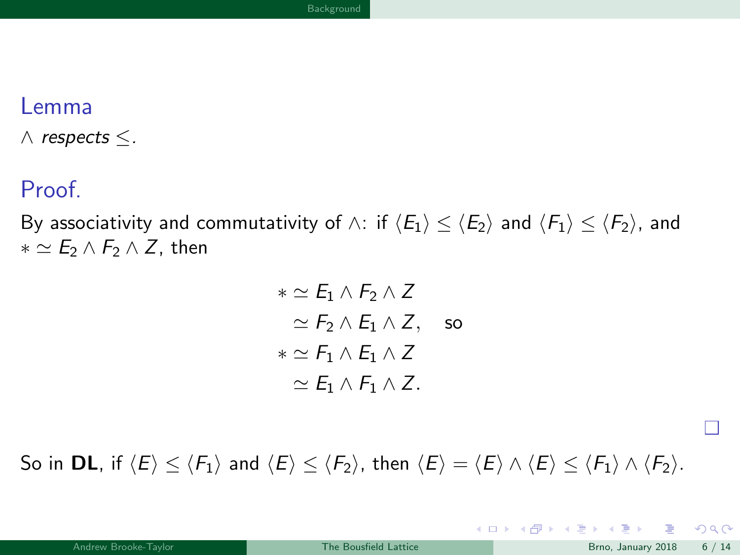#### <span id="page-11-0"></span>Lemma

 $\wedge$  respects  $\leq$ .

#### Proof.

By associativity and commutativity of  $\wedge$ : if  $\langle E_1 \rangle \leq \langle E_2 \rangle$  and  $\langle F_1 \rangle \leq \langle F_2 \rangle$ , and  $* \simeq E_2 \wedge F_2 \wedge Z$ , then

$$
\ast \simeq E_1 \wedge F_2 \wedge Z
$$
  
\simeq  $F_2 \wedge E_1 \wedge Z$ , so  
\t
$$
\ast \simeq F_1 \wedge E_1 \wedge Z
$$
  
\t
$$
\simeq E_1 \wedge F_1 \wedge Z.
$$

So in DL, if  $\langle E \rangle \le \langle F_1 \rangle$  and  $\langle E \rangle \le \langle F_2 \rangle$ , then  $\langle E \rangle = \langle E \rangle \wedge \langle E \rangle \le \langle F_1 \rangle \wedge \langle F_2 \rangle$ .

 $4$  O  $\rightarrow$   $4$   $\overline{m}$   $\rightarrow$   $4$   $\overline{m}$   $\rightarrow$ 

П

 $\Omega$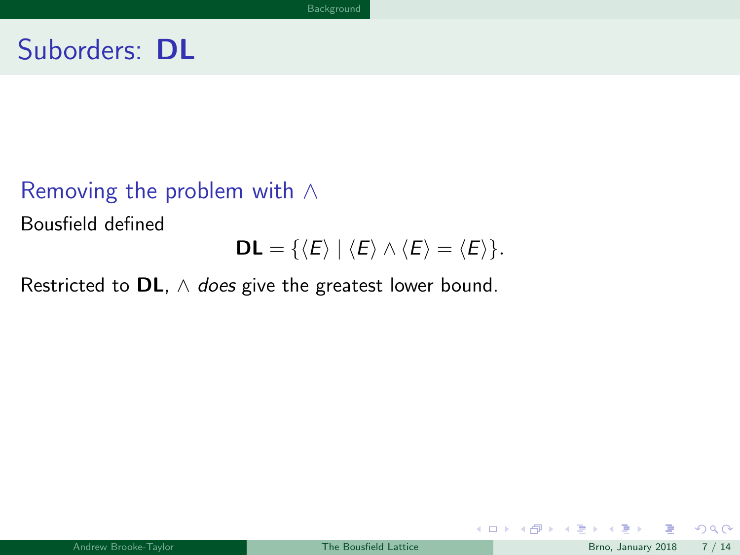#### <span id="page-12-0"></span>Removing the problem with ∧

Bousfield defined

$$
\mathsf{DL}=\{\langle E\rangle\mid\langle E\rangle\wedge\langle E\rangle=\langle E\rangle\}.
$$

Restricted to DL,  $\wedge$  does give the greatest lower bound.

 $299$ 

メロトメ 御下 メミトメ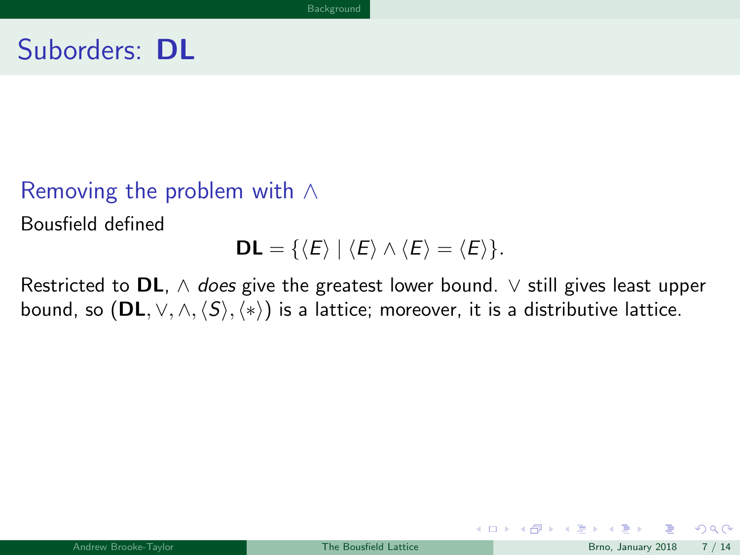#### <span id="page-13-0"></span>Removing the problem with ∧

Bousfield defined

$$
DL = \{ \langle E \rangle \mid \langle E \rangle \wedge \langle E \rangle = \langle E \rangle \}.
$$

Restricted to DL,  $\wedge$  does give the greatest lower bound.  $\vee$  still gives least upper bound, so  $(DL, \vee, \wedge, \langle S \rangle, \langle * \rangle)$  is a lattice; moreover, it is a distributive lattice.

 $\Omega$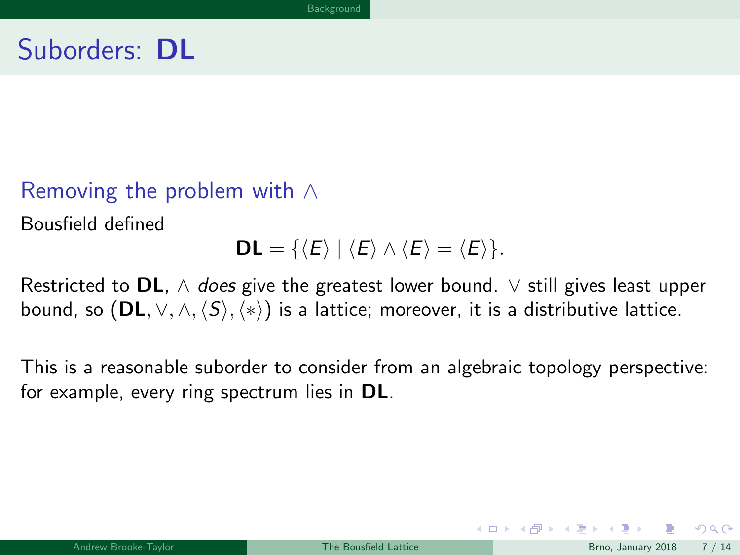#### <span id="page-14-0"></span>Removing the problem with ∧

Bousfield defined

$$
DL = \{ \langle E \rangle \mid \langle E \rangle \wedge \langle E \rangle = \langle E \rangle \}.
$$

Restricted to DL,  $\wedge$  does give the greatest lower bound.  $\vee$  still gives least upper bound, so  $(DL, \vee, \wedge, \langle S \rangle, \langle * \rangle)$  is a lattice; moreover, it is a distributive lattice.

This is a reasonable suborder to consider from an algebraic topology perspective: for example, every ring spectrum lies in **DL**.

 $\Omega$ 

 $\left\{ \begin{array}{ccc} \square & \rightarrow & \left\{ \bigcap \mathbb{P} \right\} & \left\{ \begin{array}{ccc} \square & \rightarrow & \left\{ \end{array} \right\} \end{array} \right.$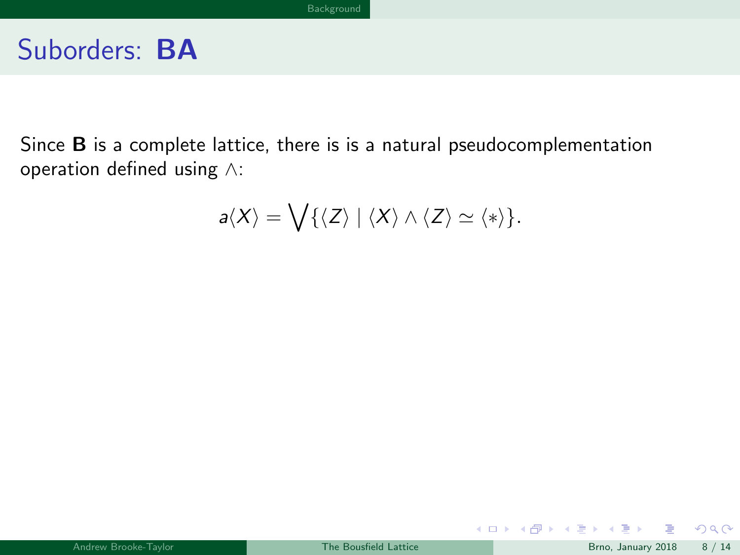<span id="page-15-0"></span>Since B is a complete lattice, there is is a natural pseudocomplementation operation defined using ∧:

$$
a\langle X\rangle=\bigvee\{\langle Z\rangle\mid\langle X\rangle\wedge\langle Z\rangle\simeq\langle*\rangle\}.
$$

舌

 $299$ 

メロトメ 御下 メミトメ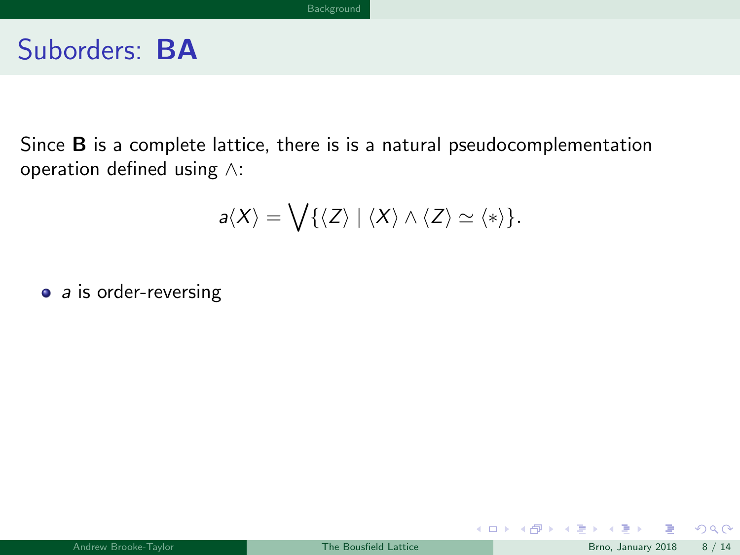<span id="page-16-0"></span>Since B is a complete lattice, there is is a natural pseudocomplementation operation defined using ∧:

$$
a\langle X\rangle = \bigvee \{\langle Z\rangle \mid \langle X\rangle \wedge \langle Z\rangle \simeq \langle *\rangle\}.
$$

 $\bullet$  a is order-reversing

 $QQ$ 

メロメ メタメ メミメス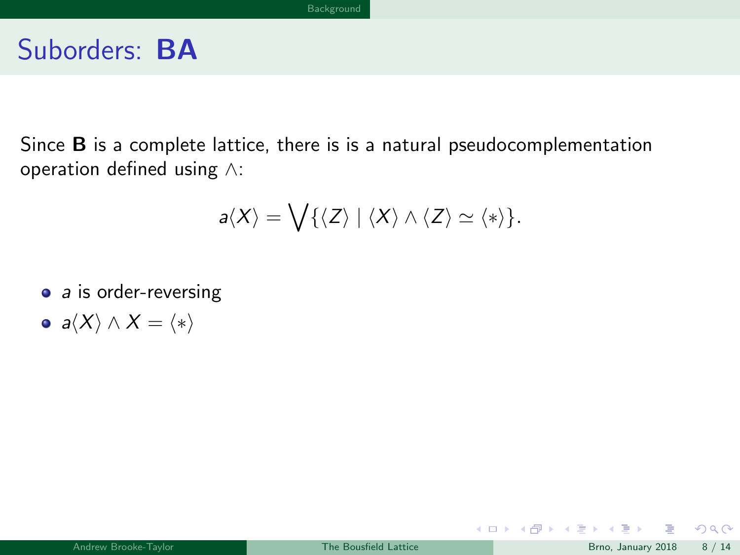<span id="page-17-0"></span>Since B is a complete lattice, there is is a natural pseudocomplementation operation defined using ∧:

$$
a\langle X\rangle = \bigvee \{\langle Z\rangle \mid \langle X\rangle \wedge \langle Z\rangle \simeq \langle *\rangle\}.
$$

- a is order-reversing
- $a\langle X\rangle \wedge X = \langle * \rangle$

 $299$ 

メロトメ 御下 メミトメ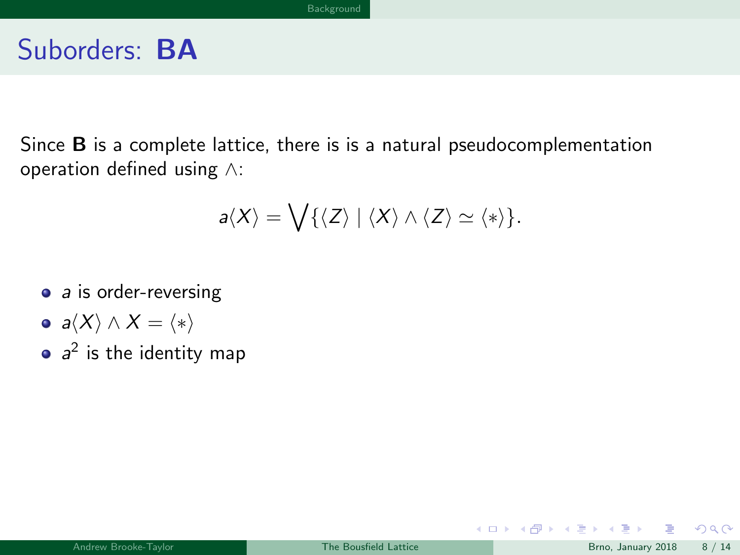<span id="page-18-0"></span>Since B is a complete lattice, there is is a natural pseudocomplementation operation defined using ∧:

$$
a\langle X\rangle = \bigvee \{\langle Z\rangle \mid \langle X\rangle \wedge \langle Z\rangle \simeq \langle *\rangle\}.
$$

- a is order-reversing
- $a\langle X\rangle \wedge X = \langle * \rangle$
- $a^2$  is the identity map

イロト イ押ト イヨト イ

 $299$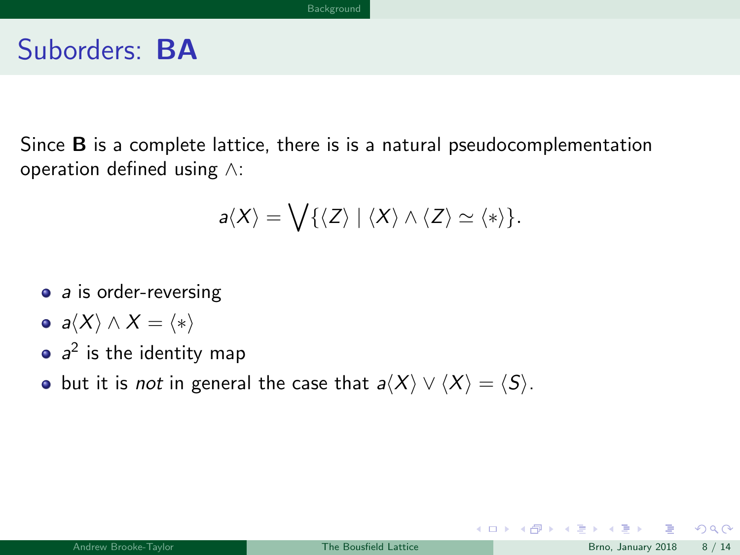<span id="page-19-0"></span>Since B is a complete lattice, there is is a natural pseudocomplementation operation defined using ∧:

$$
a\langle X\rangle = \bigvee \{\langle Z\rangle \mid \langle X\rangle \wedge \langle Z\rangle \simeq \langle *\rangle\}.
$$

- a is order-reversing
- $a\langle X\rangle \wedge X = \langle * \rangle$
- $a^2$  is the identity map
- but it is *not* in general the case that  $a\langle X \rangle \vee \langle X \rangle = \langle S \rangle$ .

 $\Omega$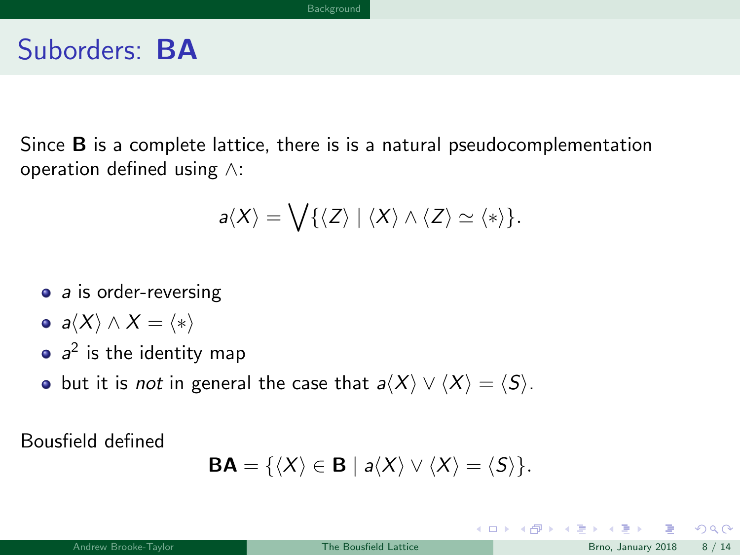<span id="page-20-0"></span>Since B is a complete lattice, there is is a natural pseudocomplementation operation defined using ∧:

$$
a\langle X\rangle=\bigvee\{\langle Z\rangle\mid\langle X\rangle\wedge\langle Z\rangle\simeq\langle*\rangle\}.
$$

- a is order-reversing
- $a\langle X\rangle \wedge X = \langle * \rangle$
- $a^2$  is the identity map
- but it is *not* in general the case that  $a\langle X \rangle \vee \langle X \rangle = \langle S \rangle$ .

Bousfield defined

$$
\mathbf{BA} = \{ \langle X \rangle \in \mathbf{B} \mid a \langle X \rangle \vee \langle X \rangle = \langle S \rangle \}.
$$

 $\Omega$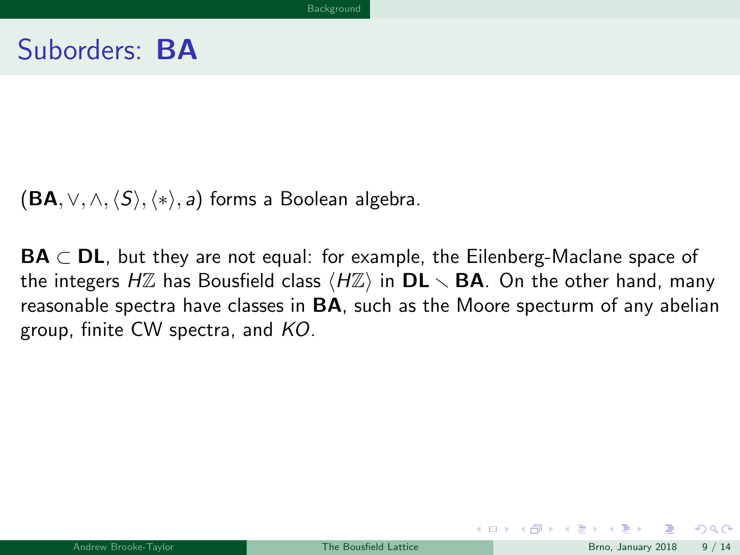<span id="page-21-0"></span> $(BA, \vee, \wedge, \langle S \rangle, \langle * \rangle, a)$  forms a Boolean algebra.

 $BA \subset DL$ , but they are not equal: for example, the Eilenberg-Maclane space of the integers HZ has Bousfield class  $\langle HZ \rangle$  in **DL**  $\smallsetminus$  **BA**. On the other hand, many reasonable spectra have classes in  $BA$ , such as the Moore specturm of any abelian group, finite CW spectra, and KO.

 $\Omega$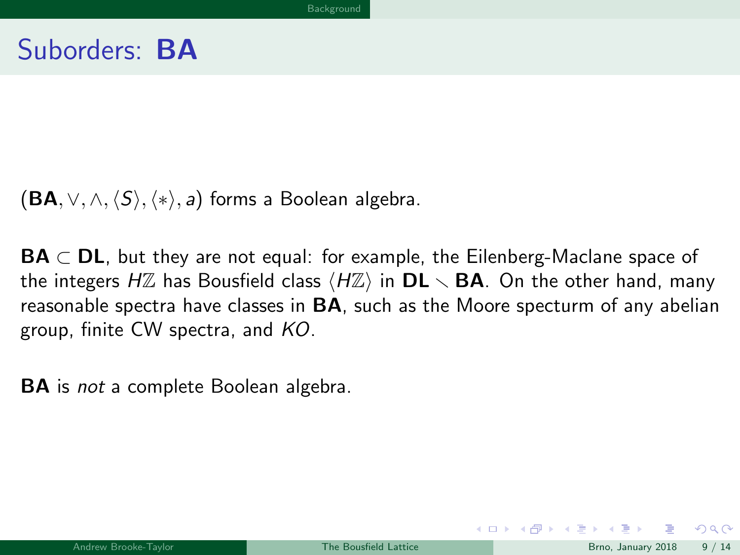<span id="page-22-0"></span> $(BA, \vee, \wedge, \langle S \rangle, \langle * \rangle, a)$  forms a Boolean algebra.

 $BA \subset DL$ , but they are not equal: for example, the Eilenberg-Maclane space of the integers HZ has Bousfield class  $\langle HZ \rangle$  in **DL**  $\smallsetminus$  **BA**. On the other hand, many reasonable spectra have classes in  $BA$ , such as the Moore specturm of any abelian group, finite CW spectra, and KO.

BA is not a complete Boolean algebra.

 $\Omega$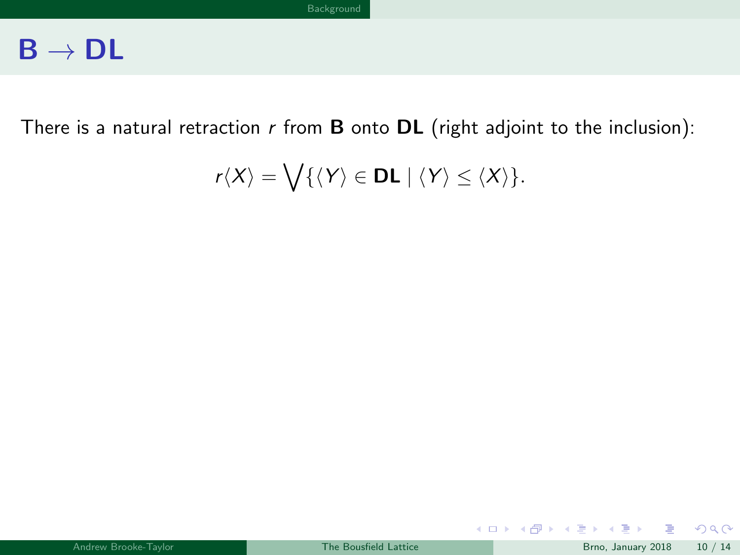<span id="page-23-0"></span>There is a natural retraction  $r$  from **B** onto **DL** (right adjoint to the inclusion):

$$
r\langle X\rangle=\bigvee\{\langle Y\rangle\in\mathsf{DL}\mid \langle Y\rangle\leq \langle X\rangle\}.
$$

 $299$ 

メロメ メ御 メメ ミメ メ ヨメ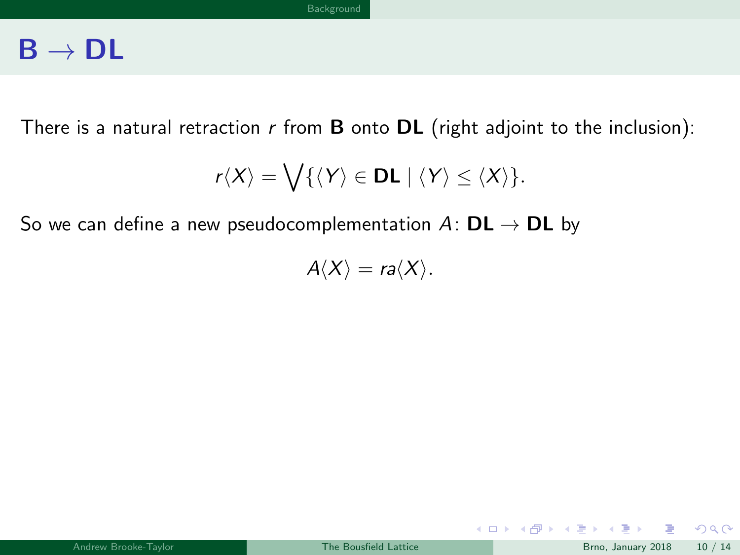<span id="page-24-0"></span>There is a natural retraction  $r$  from **B** onto **DL** (right adjoint to the inclusion):

$$
r\langle X\rangle=\bigvee\{\langle Y\rangle\in\mathsf{DL}\mid \langle Y\rangle\leq \langle X\rangle\}.
$$

So we can define a new pseudocomplementation  $A: DL \rightarrow DL$  by

 $A\langle X\rangle = ra\langle X\rangle$ .

 $QQ$ 

メロト メ御 トメ ヨ トメ ヨト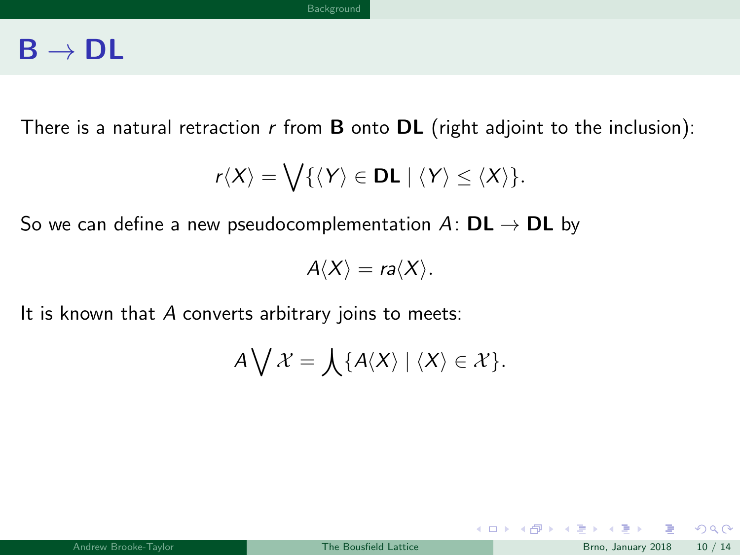<span id="page-25-0"></span>There is a natural retraction  $r$  from **B** onto **DL** (right adjoint to the inclusion):

$$
r\langle X\rangle=\bigvee\{\langle Y\rangle\in\mathsf{DL}\mid \langle Y\rangle\leq \langle X\rangle\}.
$$

So we can define a new pseudocomplementation  $A: DL \rightarrow DL$  by

 $A\langle X\rangle = ra\langle X\rangle$ .

It is known that  $A$  converts arbitrary joins to meets:

$$
A\bigvee\mathcal{X}=\bigwedge\{A\langle X\rangle\mid\langle X\rangle\in\mathcal{X}\}.
$$

 $2990$ 

メロト メ御 トメ ヨ トメ ヨト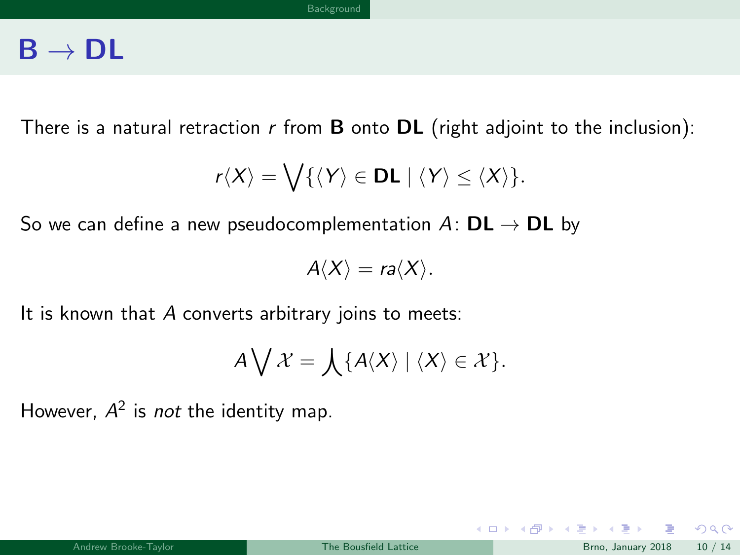<span id="page-26-0"></span>There is a natural retraction  $r$  from **B** onto **DL** (right adjoint to the inclusion):

$$
r\langle X\rangle=\bigvee\{\langle Y\rangle\in\mathsf{DL}\mid \langle Y\rangle\leq \langle X\rangle\}.
$$

So we can define a new pseudocomplementation  $A: DL \rightarrow DL$  by

 $A\langle X\rangle = ra\langle X\rangle$ .

It is known that  $A$  converts arbitrary joins to meets:

$$
A\bigvee\mathcal{X}=\bigwedge\{A\langle X\rangle\mid\langle X\rangle\in\mathcal{X}\}.
$$

However,  $A^2$  is not the identity map.

 $QQ$ 

メロメ メ御 メメ きょうぼき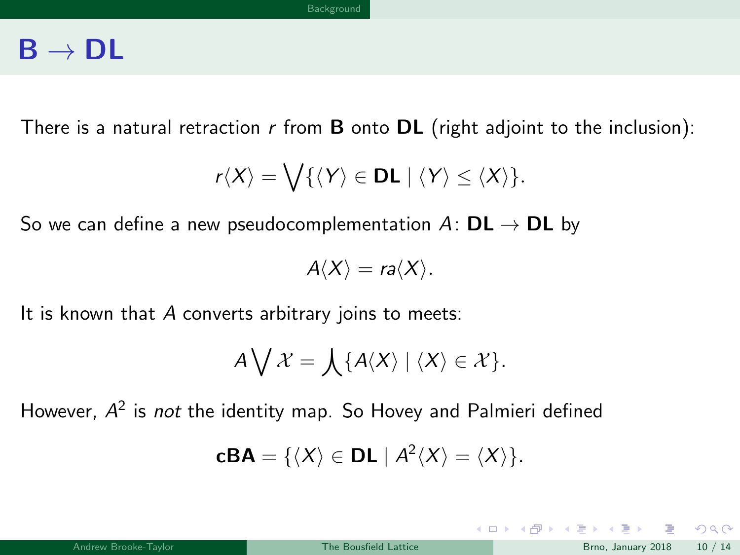<span id="page-27-0"></span>There is a natural retraction  $r$  from **B** onto **DL** (right adjoint to the inclusion):

$$
r\langle X\rangle=\bigvee\{\langle Y\rangle\in\mathsf{DL}\mid \langle Y\rangle\leq \langle X\rangle\}.
$$

So we can define a new pseudocomplementation  $A: DL \rightarrow DL$  by

 $A\langle X\rangle = ra\langle X\rangle$ .

It is known that A converts arbitrary joins to meets:

$$
A\bigvee\mathcal{X}=\bigwedge\{A\langle X\rangle\mid\langle X\rangle\in\mathcal{X}\}.
$$

However,  $A^2$  is not the identity map. So Hovey and Palmieri defined

$$
cBA = \{ \langle X \rangle \in DL \mid A^2 \langle X \rangle = \langle X \rangle \}.
$$

 $2990$ 

メロト メ御 トメ ヨ トメ ヨト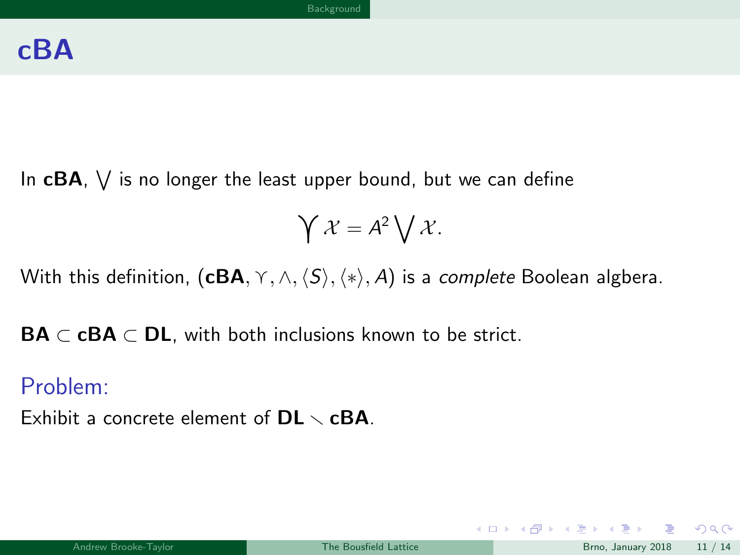<span id="page-28-0"></span>In  $\mathsf{cBA},\ \bigvee$  is no longer the least upper bound, but we can define

$$
\bigvee \mathcal{X} = A^2 \bigvee \mathcal{X}.
$$

With this definition,  $(cBA, \gamma, \land, \langle S \rangle, \langle * \rangle, A)$  is a *complete* Boolean algbera.

 $\mathbf{BA} \subset \mathbf{cBA} \subset \mathbf{DL}$ , with both inclusions known to be strict.

#### Problem:

Exhibit a concrete element of  $DL \sim cBA$ .

 $QQ$ 

K ロ > K @ > K 경 > K 경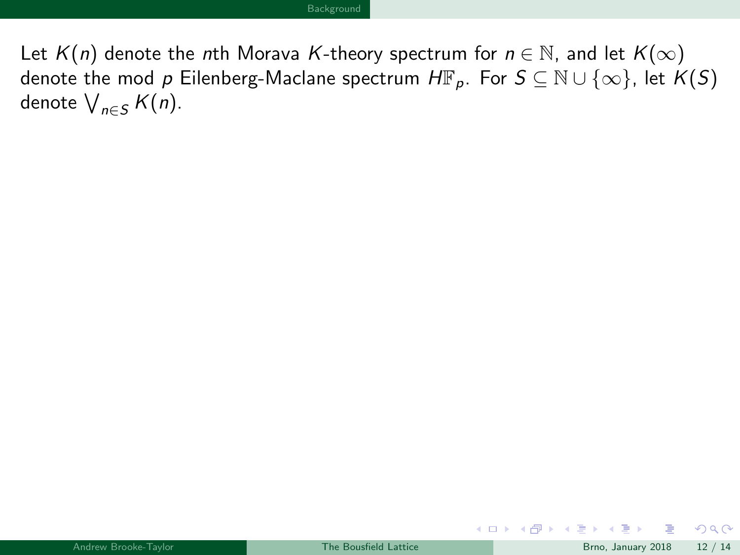<span id="page-29-0"></span>Let  $K(n)$  denote the nth Morava K-theory spectrum for  $n \in \mathbb{N}$ , and let  $K(\infty)$ denote the mod p Eilenberg-Maclane spectrum  $H\mathbb{F}_p$ . For  $S \subseteq \mathbb{N} \cup \{\infty\}$ , let  $K(S)$ denote  $\bigvee_{n\in S} K(n)$ .

 $\Omega$ 

メロト メ都 トメ ミトメ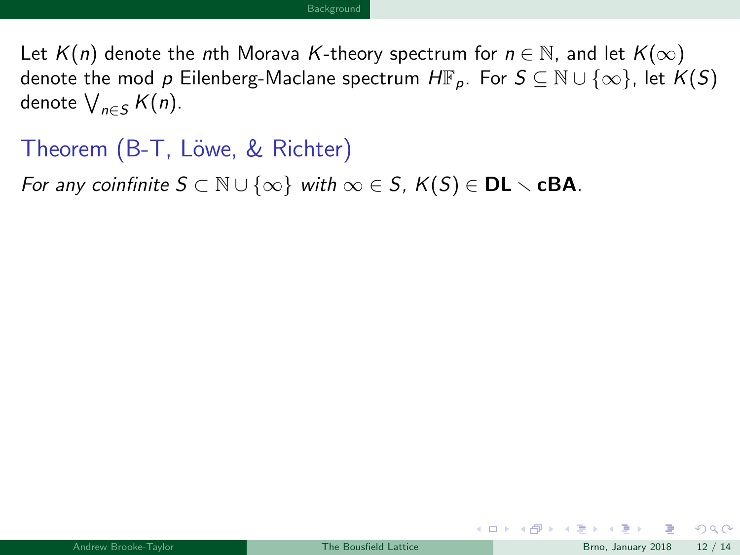<span id="page-30-0"></span>Let  $K(n)$  denote the nth Morava K-theory spectrum for  $n \in \mathbb{N}$ , and let  $K(\infty)$ denote the mod p Eilenberg-Maclane spectrum  $H\mathbb{F}_p$ . For  $S \subseteq \mathbb{N} \cup \{\infty\}$ , let  $K(S)$ denote  $\bigvee_{n\in S} K(n)$ .

Theorem (B-T, Löwe, & Richter)

For any coinfinite  $S \subset \mathbb{N} \cup \{\infty\}$  with  $\infty \in S$ ,  $K(S) \in \mathbf{DL} \setminus \mathbf{cBA}$ .

 $\Omega$ 

メロト メタト メミトメ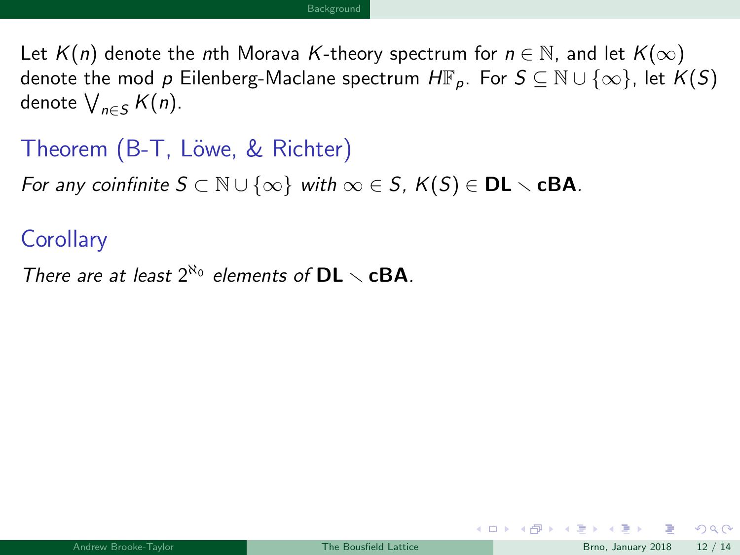<span id="page-31-0"></span>Let  $K(n)$  denote the nth Morava K-theory spectrum for  $n \in \mathbb{N}$ , and let  $K(\infty)$ denote the mod p Eilenberg-Maclane spectrum  $H\mathbb{F}_p$ . For  $S \subseteq \mathbb{N} \cup \{\infty\}$ , let  $K(S)$ denote  $\bigvee_{n\in S} K(n)$ .

Theorem (B-T, Löwe, & Richter)

For any coinfinite  $S \subset \mathbb{N} \cup \{\infty\}$  with  $\infty \in S$ ,  $K(S) \in \mathbf{DL} \setminus \mathbf{cBA}$ .

#### **Corollary**

There are at least  $2^{\aleph_0}$  elements of  $DL \setminus cBA$ .

 $\Omega$ 

**K ロ ▶ | K 伺 ▶ | K ヨ ▶**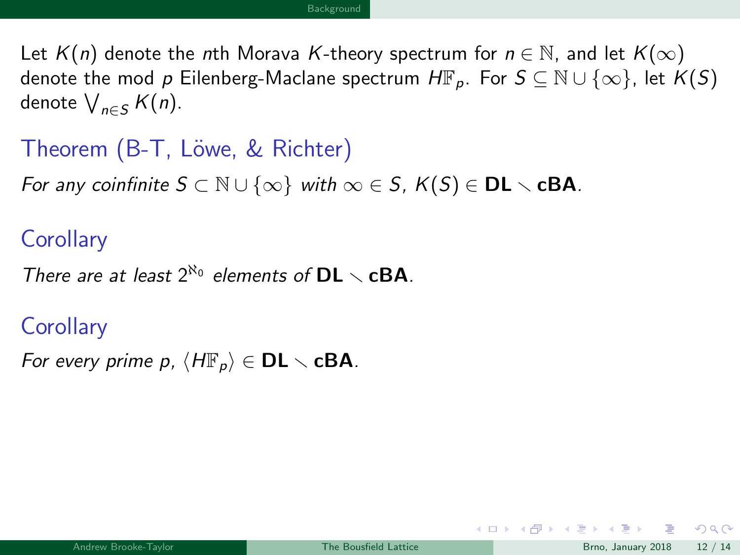<span id="page-32-0"></span>Let  $K(n)$  denote the nth Morava K-theory spectrum for  $n \in \mathbb{N}$ , and let  $K(\infty)$ denote the mod p Eilenberg-Maclane spectrum  $H\mathbb{F}_p$ . For  $S \subseteq \mathbb{N} \cup \{\infty\}$ , let  $K(S)$ denote  $\bigvee_{n\in S} K(n)$ .

Theorem (B-T, Löwe, & Richter)

For any coinfinite  $S \subset \mathbb{N} \cup \{\infty\}$  with  $\infty \in S$ ,  $K(S) \in \mathbf{DL} \setminus \mathbf{cBA}$ .

#### **Corollary**

There are at least  $2^{\aleph_0}$  elements of  $DL \setminus cBA$ .

#### **Corollary**

For every prime p,  $\langle H\mathbb{F}_p\rangle \in \mathsf{DL} \setminus \mathsf{cBA}$ .

 $\Omega$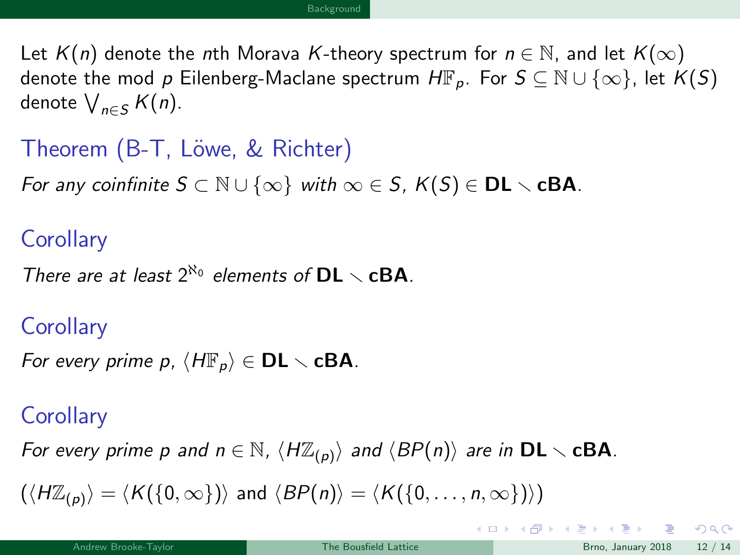<span id="page-33-0"></span>Let  $K(n)$  denote the nth Morava K-theory spectrum for  $n \in \mathbb{N}$ , and let  $K(\infty)$ denote the mod p Eilenberg-Maclane spectrum  $H\mathbb{F}_p$ . For  $S \subseteq \mathbb{N} \cup \{\infty\}$ , let  $K(S)$ denote  $\bigvee_{n\in S} K(n)$ .

```
Theorem (B-T, Löwe, & Richter)
```
For any coinfinite  $S \subset \mathbb{N} \cup \{\infty\}$  with  $\infty \in S$ ,  $K(S) \in \mathbf{DL} \setminus \mathbf{cBA}$ .

#### **Corollary**

```
There are at least 2^{\aleph_0} elements of DL \setminus cBA.
```
#### **Corollary**

```
For every prime p, \langle H\mathbb{F}_p\rangle \in \mathsf{DL} \setminus \mathsf{cBA}.
```
#### **Corollary**

For every prime p and  $n \in \mathbb{N}$ ,  $\langle H\mathbb{Z}_{(p)}\rangle$  and  $\langle BP(n)\rangle$  are in  $DL \setminus cBA$ .

 $(\langle H\mathbb{Z}_{(p)}\rangle = \langle K({0, \infty}\rangle)$  and  $\langle BP(n)\rangle = \langle K({0, \ldots, n, \infty}\rangle)\rangle$ 

 $\Omega$ 

**K ロ ト K 何 ト K ヨ ト K**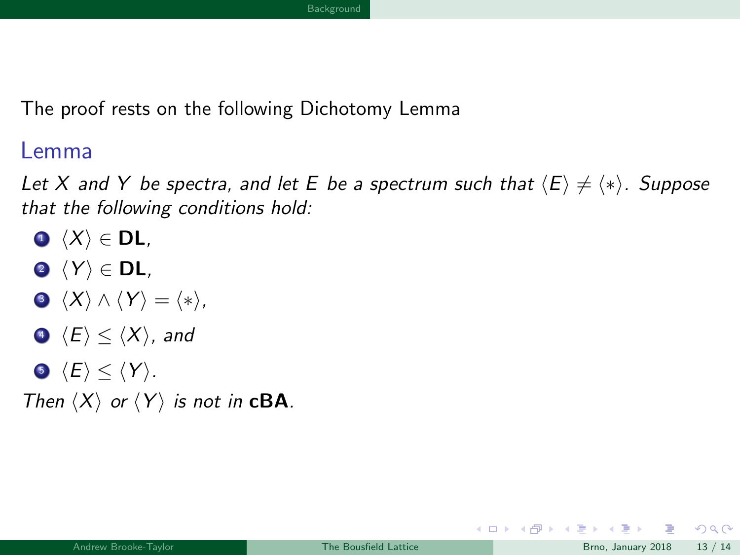<span id="page-34-0"></span>The proof rests on the following Dichotomy Lemma

Lemma

Let X and Y be spectra, and let E be a spectrum such that  $\langle E \rangle \neq \langle * \rangle$ . Suppose that the following conditions hold:

- $\bigcirc$   $\langle X \rangle \in$  DL,
- $\langle Y \rangle \in DL$ ,
- $\langle X \rangle \wedge \langle Y \rangle = \langle * \rangle,$
- $\langle E \rangle$   $\langle X \rangle$ , and
- $\langle E \rangle \leq \langle Y \rangle$ .

Then  $\langle X \rangle$  or  $\langle Y \rangle$  is not in **cBA**.

 $\Omega$ 

メロト メ押 トメミトメミ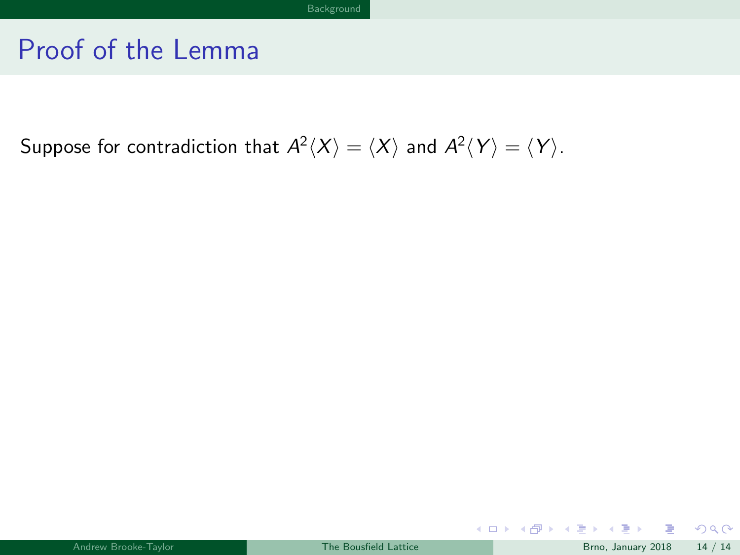<span id="page-35-0"></span>Suppose for contradiction that  $A^2\langle X\rangle = \langle X\rangle$  and  $A^2\langle Y\rangle = \langle Y\rangle.$ 

**In** 

 $299$ 

メロトメ 倒下 メミトメミ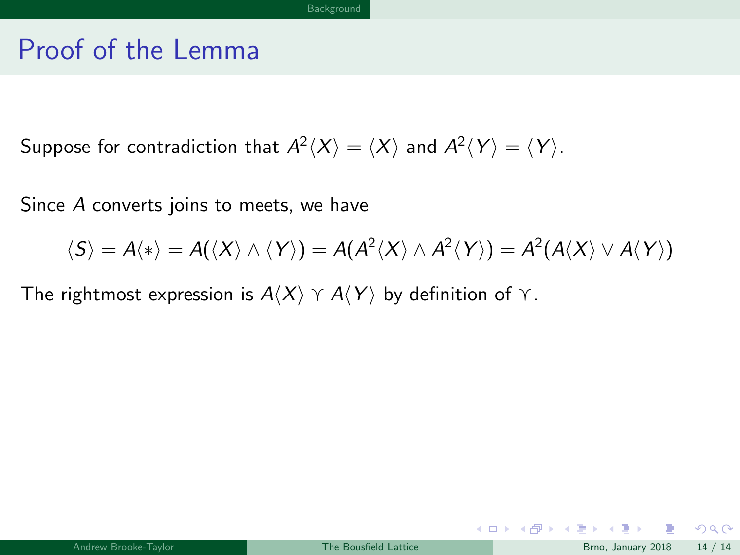<span id="page-36-0"></span>Suppose for contradiction that  $A^2\langle X\rangle = \langle X\rangle$  and  $A^2\langle Y\rangle = \langle Y\rangle.$ 

Since A converts joins to meets, we have

$$
\langle S \rangle = A \langle * \rangle = A(\langle X \rangle \wedge \langle Y \rangle) = A(A^2 \langle X \rangle \wedge A^2 \langle Y \rangle) = A^2(A \langle X \rangle \vee A \langle Y \rangle)
$$

The rightmost expression is  $A\langle X\rangle \,\,\gamma \,A\langle Y\rangle$  by definition of  $\gamma$ .

メロト メ母 トメミト メミト

 $2990$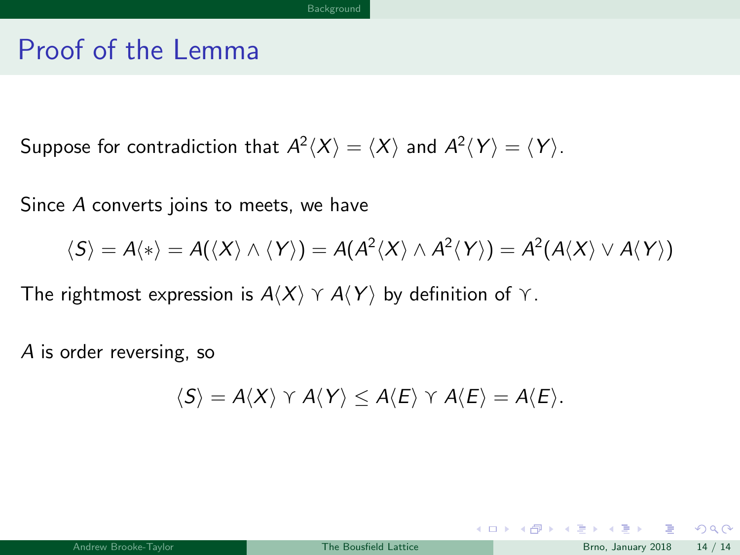<span id="page-37-0"></span>Suppose for contradiction that  $A^2\langle X\rangle = \langle X\rangle$  and  $A^2\langle Y\rangle = \langle Y\rangle.$ 

Since A converts joins to meets, we have

$$
\langle S \rangle = A \langle * \rangle = A(\langle X \rangle \wedge \langle Y \rangle) = A(A^2 \langle X \rangle \wedge A^2 \langle Y \rangle) = A^2(A \langle X \rangle \vee A \langle Y \rangle)
$$

The rightmost expression is  $A\langle X\rangle \,\,\gamma \,A\langle Y\rangle$  by definition of  $\gamma$ .

A is order reversing, so

$$
\langle S \rangle = A \langle X \rangle \curlyvee A \langle Y \rangle \leq A \langle E \rangle \curlyvee A \langle E \rangle = A \langle E \rangle.
$$

 $QQ$ 

メロト メ母 トメミト メミト